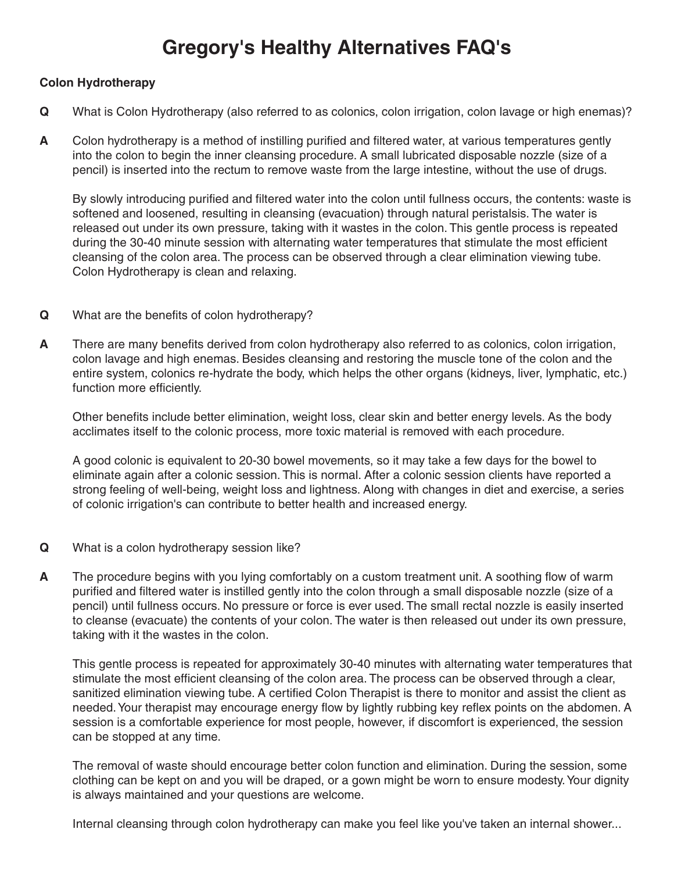## **Gregory's Healthy Alternatives FAQ's**

## **Colon Hydrotherapy**

- **Q** What is Colon Hydrotherapy (also referred to as colonics, colon irrigation, colon lavage or high enemas)?
- **A** Colon hydrotherapy is a method of instilling purified and filtered water, at various temperatures gently into the colon to begin the inner cleansing procedure. A small lubricated disposable nozzle (size of a pencil) is inserted into the rectum to remove waste from the large intestine, without the use of drugs.

By slowly introducing purified and filtered water into the colon until fullness occurs, the contents: waste is softened and loosened, resulting in cleansing (evacuation) through natural peristalsis. The water is released out under its own pressure, taking with it wastes in the colon. This gentle process is repeated during the 30-40 minute session with alternating water temperatures that stimulate the most efficient cleansing of the colon area. The process can be observed through a clear elimination viewing tube. Colon Hydrotherapy is clean and relaxing.

- **Q** What are the benefits of colon hydrotherapy?
- **A** There are many benefits derived from colon hydrotherapy also referred to as colonics, colon irrigation, colon lavage and high enemas. Besides cleansing and restoring the muscle tone of the colon and the entire system, colonics re-hydrate the body, which helps the other organs (kidneys, liver, lymphatic, etc.) function more efficiently.

Other benefits include better elimination, weight loss, clear skin and better energy levels. As the body acclimates itself to the colonic process, more toxic material is removed with each procedure.

A good colonic is equivalent to 20-30 bowel movements, so it may take a few days for the bowel to eliminate again after a colonic session. This is normal. After a colonic session clients have reported a strong feeling of well-being, weight loss and lightness. Along with changes in diet and exercise, a series of colonic irrigation's can contribute to better health and increased energy.

- **Q** What is a colon hydrotherapy session like?
- **A** The procedure begins with you lying comfortably on a custom treatment unit. A soothing flow of warm purified and filtered water is instilled gently into the colon through a small disposable nozzle (size of a pencil) until fullness occurs. No pressure or force is ever used. The small rectal nozzle is easily inserted to cleanse (evacuate) the contents of your colon. The water is then released out under its own pressure, taking with it the wastes in the colon.

This gentle process is repeated for approximately 30-40 minutes with alternating water temperatures that stimulate the most efficient cleansing of the colon area. The process can be observed through a clear, sanitized elimination viewing tube. A certified Colon Therapist is there to monitor and assist the client as needed.Your therapist may encourage energy flow by lightly rubbing key reflex points on the abdomen. A session is a comfortable experience for most people, however, if discomfort is experienced, the session can be stopped at any time.

The removal of waste should encourage better colon function and elimination. During the session, some clothing can be kept on and you will be draped, or a gown might be worn to ensure modesty.Your dignity is always maintained and your questions are welcome.

Internal cleansing through colon hydrotherapy can make you feel like you've taken an internal shower...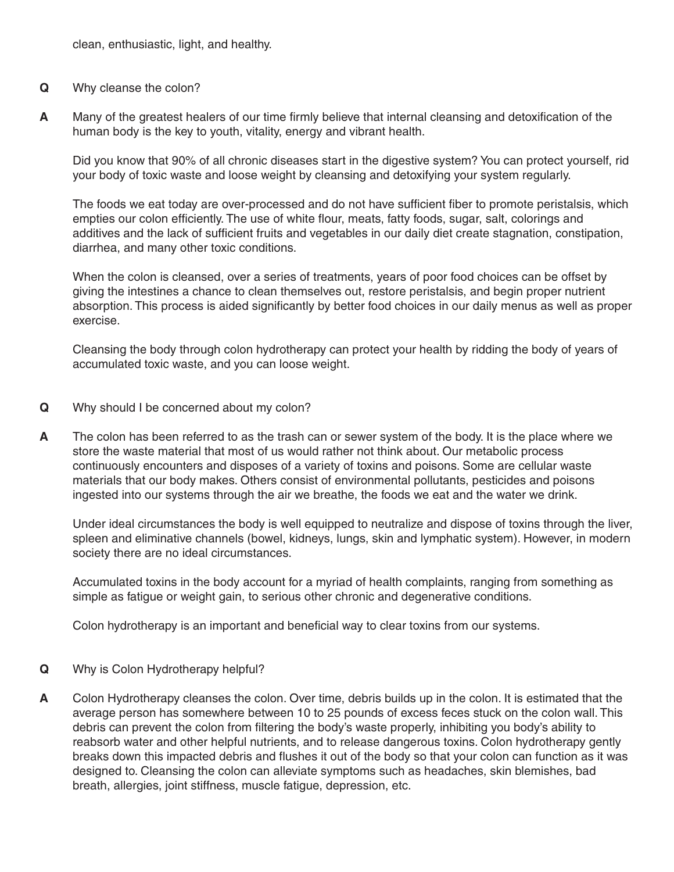clean, enthusiastic, light, and healthy.

- **Q** Why cleanse the colon?
- **A** Many of the greatest healers of our time firmly believe that internal cleansing and detoxification of the human body is the key to youth, vitality, energy and vibrant health.

Did you know that 90% of all chronic diseases start in the digestive system? You can protect yourself, rid your body of toxic waste and loose weight by cleansing and detoxifying your system regularly.

The foods we eat today are over-processed and do not have sufficient fiber to promote peristalsis, which empties our colon efficiently. The use of white flour, meats, fatty foods, sugar, salt, colorings and additives and the lack of sufficient fruits and vegetables in our daily diet create stagnation, constipation, diarrhea, and many other toxic conditions.

When the colon is cleansed, over a series of treatments, years of poor food choices can be offset by giving the intestines a chance to clean themselves out, restore peristalsis, and begin proper nutrient absorption. This process is aided significantly by better food choices in our daily menus as well as proper exercise.

Cleansing the body through colon hydrotherapy can protect your health by ridding the body of years of accumulated toxic waste, and you can loose weight.

- **Q** Why should I be concerned about my colon?
- **A** The colon has been referred to as the trash can or sewer system of the body. It is the place where we store the waste material that most of us would rather not think about. Our metabolic process continuously encounters and disposes of a variety of toxins and poisons. Some are cellular waste materials that our body makes. Others consist of environmental pollutants, pesticides and poisons ingested into our systems through the air we breathe, the foods we eat and the water we drink.

Under ideal circumstances the body is well equipped to neutralize and dispose of toxins through the liver, spleen and eliminative channels (bowel, kidneys, lungs, skin and lymphatic system). However, in modern society there are no ideal circumstances.

Accumulated toxins in the body account for a myriad of health complaints, ranging from something as simple as fatigue or weight gain, to serious other chronic and degenerative conditions.

Colon hydrotherapy is an important and beneficial way to clear toxins from our systems.

- **Q** Why is Colon Hydrotherapy helpful?
- **A** Colon Hydrotherapy cleanses the colon. Over time, debris builds up in the colon. It is estimated that the average person has somewhere between 10 to 25 pounds of excess feces stuck on the colon wall. This debris can prevent the colon from filtering the body's waste properly, inhibiting you body's ability to reabsorb water and other helpful nutrients, and to release dangerous toxins. Colon hydrotherapy gently breaks down this impacted debris and flushes it out of the body so that your colon can function as it was designed to. Cleansing the colon can alleviate symptoms such as headaches, skin blemishes, bad breath, allergies, joint stiffness, muscle fatigue, depression, etc.